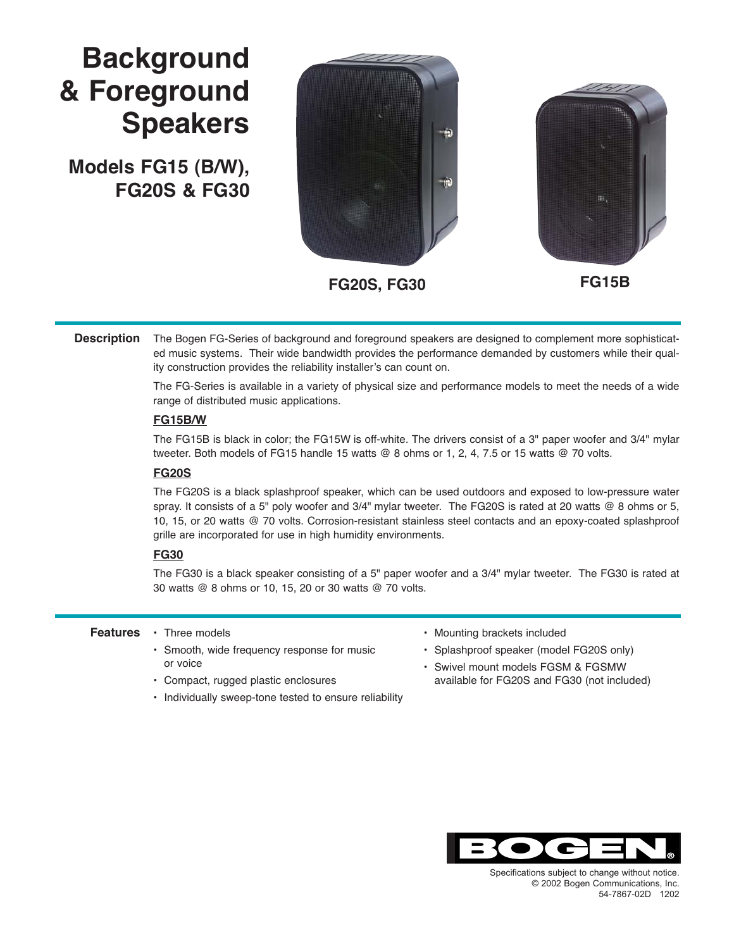# **Background & Foreground Speakers**

**Models FG15 (B/W), FG20S & FG30**





The Bogen FG-Series of background and foreground speakers are designed to complement more sophisticated music systems. Their wide bandwidth provides the performance demanded by customers while their quality construction provides the reliability installer's can count on. **Description**

> The FG-Series is available in a variety of physical size and performance models to meet the needs of a wide range of distributed music applications.

### **FG15B/W**

The FG15B is black in color; the FG15W is off-white. The drivers consist of a 3" paper woofer and 3/4" mylar tweeter. Both models of FG15 handle 15 watts @ 8 ohms or 1, 2, 4, 7.5 or 15 watts @ 70 volts.

### **FG20S**

The FG20S is a black splashproof speaker, which can be used outdoors and exposed to low-pressure water spray. It consists of a 5" poly woofer and 3/4" mylar tweeter. The FG20S is rated at 20 watts @ 8 ohms or 5, 10, 15, or 20 watts @ 70 volts. Corrosion-resistant stainless steel contacts and an epoxy-coated splashproof grille are incorporated for use in high humidity environments.

### **FG30**

The FG30 is a black speaker consisting of a 5" paper woofer and a 3/4" mylar tweeter. The FG30 is rated at 30 watts @ 8 ohms or 10, 15, 20 or 30 watts @ 70 volts.

#### • Three models **Features**

- Smooth, wide frequency response for music or voice
- Compact, rugged plastic enclosures
- Individually sweep-tone tested to ensure reliability
- Mounting brackets included
- Splashproof speaker (model FG20S only)
- Swivel mount models FGSM & FGSMW available for FG20S and FG30 (not included)



Specifications subject to change without notice.<br>
© 2002 Bogen Communications, Inc.  $60 - 54 - 7867 - 02D - 1202$